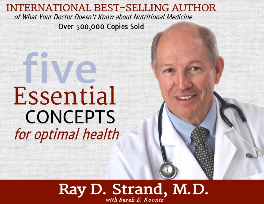#### **INTERNATIONAL BEST-SELLING AUTHOR** of What Your Doctor Doesn't Know about Nutritional Medicine Over 500,000 Copies Sold

## Essential **CONCEPTS** for optimal health

### Ray D. Strand, M.D. with Sarah E. Koontz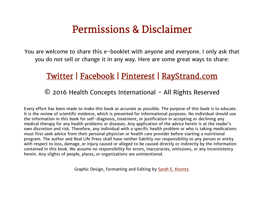### Permissions & Disclaimer

You are welcome to share this e-booklet with anyone and everyone. I only ask that you do not sell or change it in any way. Here are some great ways to share:

#### [Twitter](https://twitter.com/intent/tweet?text=Dr.%20Ray%20Strand%20is%20offering%20a%20FREE%20E-book%20%225%20Essential%20Concepts%20for%20Optimal%20Health%22%20%28no%20strings%20attached%21%29%20at%20http%3A%2F%2Fctt.ec%2FupKU2%2B&source=clicktotweet&related=clic) | [Facebook](https://www.facebook.com/sharer/sharer.php?u=http%3A//www.raystrand.com) | [Pinterest](https://www.pinterest.com/pin/565624034430723784/) | [RayStrand.com](http://www.raystrand.com/)

#### © 2016 Health Concepts International - All Rights Reserved

Every effort has been made to make this book as accurate as possible. The purpose of this book is to educate. It is the review of scientific evidence, which is presented for informational purposes. No individual should use the information in this book for self-diagnosis, treatment, or justification in accepting or declining any medical therapy for any health problems or diseases. Any application of the advice herein is at the reader's own discretion and risk. Therefore, any individual with a specific health problem or who is taking medications must first seek advice from their personal physician or health care provider before starting a nutritional program. The author and Real Life Press shall have neither liability nor responsibility to any person or entity with respect to loss, damage, or injury caused or alleged to be caused directly or indirectly by the information contained in this book. We assume no responsibility for errors, inaccuracies, omissions, or any inconsistency herein. Any slights of people, places, or organizations are unintentional.

Graphic Design, Formatting and Editing by [Sarah E. Koontz.](http://www.groundedandsurrounded.com/meet-sarah-koontz/)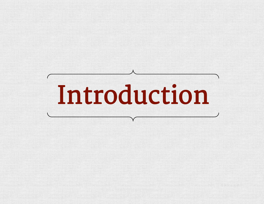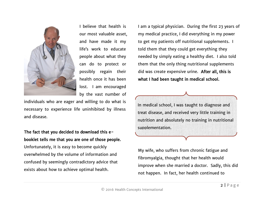

I believe that health is our most valuable asset, and have made it my life's work to educate people about what they can do to protect or possibly regain their health once it has been lost. I am encouraged by the vast number of

individuals who are eager and willing to do what is necessary to experience life uninhibited by illness and disease.

#### The fact that you decided to download this ebooklet tells me that you are one of those people.

Unfortunately, it is easy to become quickly overwhelmed by the volume of information and confused by seemingly contradictory advice that exists about how to achieve optimal health.

I am a typical physician. During the first 23 years of my medical practice, I did everything in my power to get my patients off nutritional supplements. I told them that they could get everything they needed by simply eating a healthy diet. I also told them that the only thing nutritional supplements did was create expensive urine. After all, this is what I had been taught in medical school.

In medical school, I was taught to diagnose and treat disease, and received very little training in nutrition and absolutely no training in nutritional supplementation.

My wife, who suffers from chronic fatigue and fibromyalgia, thought that her health would improve when she married a doctor. Sadly, this did not happen. In fact, her health continued to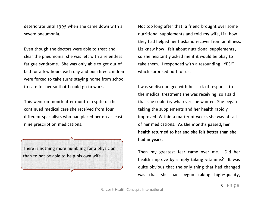deteriorate until 1995 when she came down with a severe pneumonia.

Even though the doctors were able to treat and clear the pneumonia, she was left with a relentless fatigue syndrome. She was only able to get out of bed for a few hours each day and our three children were forced to take turns staying home from school to care for her so that I could go to work.

This went on month after month in spite of the continued medical care she received from four different specialists who had placed her on at least nine prescription medications.



Not too long after that, a friend brought over some nutritional supplements and told my wife, Liz, how they had helped her husband recover from an illness. Liz knew how I felt about nutritional supplements, so she hesitantly asked me if it would be okay to take them. I responded with a resounding "YES!" which surprised both of us.

I was so discouraged with her lack of response to the medical treatment she was receiving, so I said that she could try whatever she wanted. She began taking the supplements and her health rapidly improved. Within a matter of weeks she was off all of her medications. As the months passed, her health returned to her and she felt better than she had in years.

Then my greatest fear came over me. Did her health improve by simply taking vitamins? It was quite obvious that the only thing that had changed was that she had begun taking high-quality,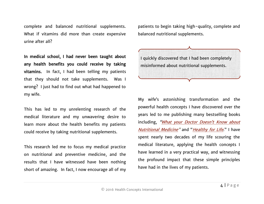complete and balanced nutritional supplements. What if vitamins did more than create expensive urine after all?

In medical school, I had never been taught about any health benefits you could receive by taking vitamins. In fact, I had been telling my patients that they should not take supplements. Was I wrong? I just had to find out what had happened to my wife.

This has led to my unrelenting research of the medical literature and my unwavering desire to learn more about the health benefits my patients could receive by taking nutritional supplements.

This research led me to focus my medical practice on nutritional and preventive medicine, and the results that I have witnessed have been nothing short of amazing. In fact, I now encourage all of my

patients to begin taking high-quality, complete and balanced nutritional supplements.



My wife's astonishing transformation and the powerful health concepts I have discovered over the years led to me publishing many bestselling books including, "What your Doctor Doesn't Know about [Nutritional Medicine](http://www.raystrand.com/bookstore.asp)" and "[Healthy for Life](http://www.raystrand.com/bookstore.asp)." I have spent nearly two decades of my life scouring the medical literature, applying the health concepts I have learned in a very practical way, and witnessing the profound impact that these simple principles have had in the lives of my patients.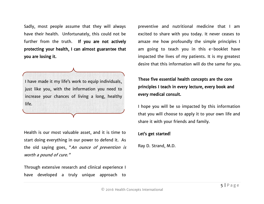Sadly, most people assume that they will always have their health. Unfortunately, this could not be further from the truth. If you are not actively protecting your health, I can almost guarantee that you are losing it.

I have made it my life's work to equip individuals, just like you, with the information you need to increase your chances of living a long, healthy life.

Health is our most valuable asset, and it is time to start doing everything in our power to defend it. As the old saying goes, "An ounce of prevention is worth a pound of cure."

Through extensive research and clinical experience I have developed a truly unique approach to preventive and nutritional medicine that I am excited to share with you today. It never ceases to amaze me how profoundly the simple principles I am going to teach you in this e-booklet have impacted the lives of my patients. It is my greatest desire that this information will do the same for you.

These five essential health concepts are the core principles I teach in every lecture, every book and every medical consult.

I hope you will be so impacted by this information that you will choose to apply it to your own life and share it with your friends and family.

#### Let's get started!

Ray D. Strand, M.D.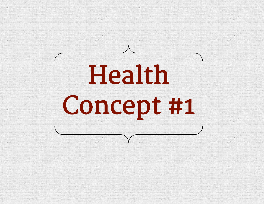# Health Concept #1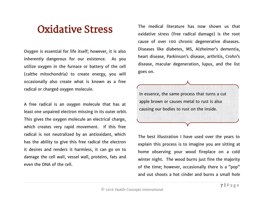### Oxidative Stress

Oxygen is essential for life itself; however, it is also inherently dangerous for our existence. As you utilize oxygen in the furnace or battery of the cell (calthe mitochondria) to create energy, you will occasionally also create what is known as a free radical or charged oxygen molecule.

A free radical is an oxygen molecule that has at least one unpaired electron missing in its outer orbit. This gives the oxygen molecule an electrical charge, which creates very rapid movement. If this free radical is not neutralized by an antioxidant, which has the ability to give this free radical the electron it desires and renders it harmless, it can go on to damage the cell wall, vessel wall, proteins, fats and even the DNA of the cell.

The medical literature has now shown us that oxidative stress (free radical damage) is the root cause of over 100 chronic degenerative diseases. Diseases like diabetes, MS, Alzheimer's dementia, heart disease, Parkinson's disease, arthritis, Crohn's disease, macular degeneration, lupus, and the list goes on.

In essence, the same process that turns a cut apple brown or causes metal to rust is also causing our bodies to rust on the inside.

The best illustration I have used over the years to explain this process is to imagine you are sitting at home observing your wood fireplace on a cold winter night. The wood burns just fine the majority of the time; however, occasionally there is a "pop" and out shoots a hot cinder and burns a small hole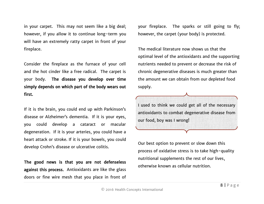in your carpet. This may not seem like a big deal; however, if you allow it to continue long-term you will have an extremely ratty carpet in front of your fireplace.

Consider the fireplace as the furnace of your cell and the hot cinder like a free radical. The carpet is your body. The disease you develop over time simply depends on which part of the body wears out first.

If it is the brain, you could end up with Parkinson's disease or Alzheimer's dementia. If it is your eyes, you could develop a cataract or macular degeneration. If it is your arteries, you could have a heart attack or stroke. If it is your bowels, you could develop Crohn's disease or ulcerative colitis.

The good news is that you are not defenseless against this process. Antioxidants are like the glass doors or fine wire mesh that you place in front of your fireplace. The sparks or still going to fly; however, the carpet (your body) is protected.

The medical literature now shows us that the optimal level of the antioxidants and the supporting nutrients needed to prevent or decrease the risk of chronic degenerative diseases is much greater than the amount we can obtain from our depleted food supply.

I used to think we could get all of the necessary antioxidants to combat degenerative disease from our food, boy was I wrong!

Our best option to prevent or slow down this process of oxidative stress is to take high-quality nutritional supplements the rest of our lives, otherwise known as cellular nutrition.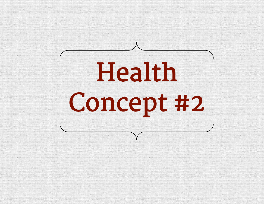## Health Concept #2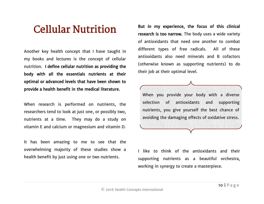### Cellular Nutrition

Another key health concept that I have taught in my books and lectures is the concept of cellular nutrition. I define cellular nutrition as providing the body with all the essentials nutrients at their optimal or advanced levels that have been shown to provide a health benefit in the medical literature.

When research is performed on nutrients, the researchers tend to look at just one, or possibly two, nutrients at a time. They may do a study on vitamin E and calcium or magnesium and vitamin D.

It has been amazing to me to see that the overwhelming majority of these studies show a health benefit by just using one or two nutrients.

But in my experience, the focus of this clinical research is too narrow. The body uses a wide variety of antioxidants that need one another to combat different types of free radicals. All of these antioxidants also need minerals and B cofactors (otherwise known as supporting nutrients) to do their job at their optimal level.

When you provide your body with a diverse selection of antioxidants and supporting nutrients, you give yourself the best chance of avoiding the damaging effects of oxidative stress.

I like to think of the antioxidants and their supporting nutrients as a beautiful orchestra, working in synergy to create a masterpiece.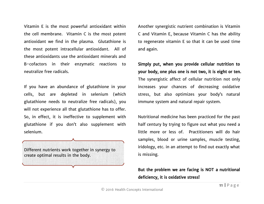Vitamin E is the most powerful antioxidant within the cell membrane. Vitamin C is the most potent antioxidant we find in the plasma. Glutathione is the most potent intracellular antioxidant. All of these antioxidants use the antioxidant minerals and B-cofactors in their enzymatic reactions to neutralize free radicals.

If you have an abundance of glutathione in your cells, but are depleted in selenium (which glutathione needs to neutralize free radicals), you will not experience all that glutathione has to offer. So, in effect, it is ineffective to supplement with glutathione if you don't also supplement with selenium.

Different nutrients work together in synergy to create optimal results in the body.

Another synergistic nutrient combination is Vitamin C and Vitamin E, because Vitamin C has the ability to regenerate vitamin E so that it can be used time and again.

Simply put, when you provide cellular nutrition to your body, one plus one is not two, it is eight or ten. The synergistic affect of cellular nutrition not only increases your chances of decreasing oxidative stress, but also optimizes your body's natural immune system and natural repair system.

Nutritional medicine has been practiced for the past half century by trying to figure out what you need a little more or less of. Practitioners will do hair samples, blood or urine samples, muscle testing, iridology, etc. in an attempt to find out exactly what is missing.

But the problem we are facing is NOT a nutritional deficiency, it is oxidative stress!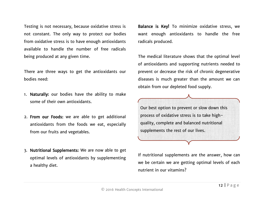Testing is not necessary, because oxidative stress is not constant. The only way to protect our bodies from oxidative stress is to have enough antioxidants available to handle the number of free radicals being produced at any given time.

There are three ways to get the antioxidants our bodies need:

- 1. Naturally: our bodies have the ability to make some of their own antioxidants.
- 2. From our Foods: we are able to get additional antioxidants from the foods we eat, especially from our fruits and vegetables.
- 3. Nutritional Supplements: We are now able to get optimal levels of antioxidants by supplementing a healthy diet.

Balance is Key! To minimize oxidative stress, we want enough antioxidants to handle the free radicals produced.

The medical literature shows that the optimal level of antioxidants and supporting nutrients needed to prevent or decrease the risk of chronic degenerative diseases is much greater than the amount we can obtain from our depleted food supply.

Our best option to prevent or slow down this process of oxidative stress is to take highquality, complete and balanced nutritional supplements the rest of our lives.

If nutritional supplements are the answer, how can we be certain we are getting optimal levels of each nutrient in our vitamins?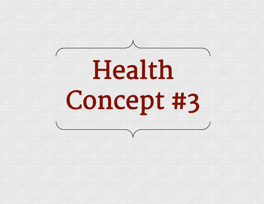## Health Concept #3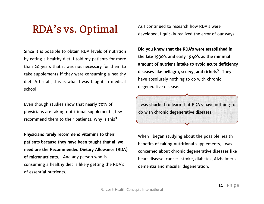### RDA's vs. Optimal

Since it is possible to obtain RDA levels of nutrition by eating a healthy diet, I told my patients for more than 20 years that it was not necessary for them to take supplements if they were consuming a healthy diet. After all, this is what I was taught in medical school.

Even though studies show that nearly 70% of physicians are taking nutritional supplements, few recommend them to their patients. Why is this?

Physicians rarely recommend vitamins to their patients because they have been taught that all we need are the Recommended Dietary Allowance (RDA) of micronutrients. And any person who is consuming a healthy diet is likely getting the RDA's of essential nutrients.

As I continued to research how RDA's were developed, I quickly realized the error of our ways.

Did you know that the RDA's were established in the late 1930's and early 1940's as the minimal amount of nutrient intake to avoid acute deficiency diseases like pellagra, scurvy, and rickets? They have absolutely nothing to do with chronic degenerative disease.

I was shocked to learn that RDA's have nothing to do with chronic degenerative diseases.

When I began studying about the possible health benefits of taking nutritional supplements, I was concerned about chronic degenerative diseases like heart disease, cancer, stroke, diabetes, Alzheimer's dementia and macular degeneration.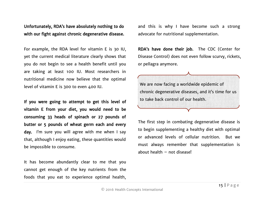Unfortunately, RDA's have absolutely nothing to do with our fight against chronic degenerative disease.

For example, the RDA level for vitamin E is 30 IU, yet the current medical literature clearly shows that you do not begin to see a health benefit until you are taking at least 100 IU. Most researchers in nutritional medicine now believe that the optimal level of vitamin E is 300 to even 400 IU.

If you were going to attempt to get this level of vitamin E from your diet, you would need to be consuming 33 heads of spinach or 27 pounds of butter or 5 pounds of wheat germ each and every day. I'm sure you will agree with me when I say that, although I enjoy eating, these quantities would be impossible to consume.

It has become abundantly clear to me that you cannot get enough of the key nutrients from the foods that you eat to experience optimal health,

and this is why I have become such a strong advocate for nutritional supplementation.

RDA's have done their job. The CDC (Center for Disease Control) does not even follow scurvy, rickets, or pellagra anymore.

We are now facing a worldwide epidemic of chronic degenerative diseases, and it's time for us to take back control of our health.

The first step in combating degenerative disease is to begin supplementing a healthy diet with optimal or advanced levels of cellular nutrition. But we must always remember that supplementation is about health – not disease!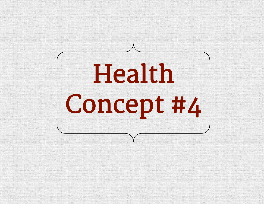# Health Concept #4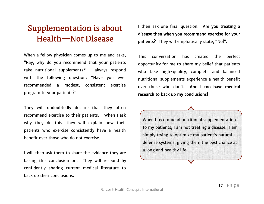### Supplementation is about Health—Not Disease

When a fellow physician comes up to me and asks, "Ray, why do you recommend that your patients take nutritional supplements?" I always respond with the following question: "Have you ever recommended a modest, consistent exercise program to your patients?"

They will undoubtedly declare that they often recommend exercise to their patients. When I ask why they do this, they will explain how their patients who exercise consistently have a health benefit over those who do not exercise.

I will then ask them to share the evidence they are basing this conclusion on. They will respond by confidently sharing current medical literature to back up their conclusions.

I then ask one final question. Are you treating a disease then when you recommend exercise for your patients? They will emphatically state, "No!".

This conversation has created the perfect opportunity for me to share my belief that patients who take high-quality, complete and balanced nutritional supplements experience a health benefit over those who don't. And I too have medical research to back up my conclusions!

When I recommend nutritional supplementation to my patients, I am not treating a disease. I am simply trying to optimize my patient's natural defense systems, giving them the best chance at a long and healthy life.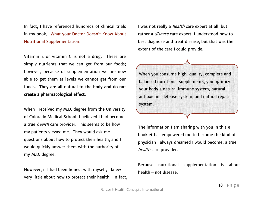In fact, I have referenced hundreds of clinical trials in my book, ["What your Doctor Doesn't Know A](http://www.raystrand.com/bookstore.asp)bout [Nutritional Supplementation](http://www.raystrand.com/bookstore.asp)."

Vitamin E or vitamin C is not a drug. These are simply nutrients that we can get from our foods; however, because of supplementation we are now able to get them at levels we cannot get from our foods. They are all natural to the body and do not create a pharmacological effect.

When I received my M.D. degree from the University of Colorado Medical School, I believed I had become a true *health* care provider. This seems to be how my patients viewed me. They would ask me questions about how to protect their health, and I would quickly answer them with the authority of my M.D. degree.

However, if I had been honest with myself, I knew very little about how to protect their health. In fact, I was not really a *health* care expert at all, but rather a *disease* care expert. I understood how to best diagnose and treat disease, but that was the extent of the care I could provide.

When you consume high-quality, complete and balanced nutritional supplements, you optimize your body's natural immune system, natural antioxidant defense system, and natural repair system.

The information I am sharing with you in this ebooklet has empowered me to become the kind of physician I always dreamed I would become; a true health care provider.

Because nutritional supplementation is about health—not disease.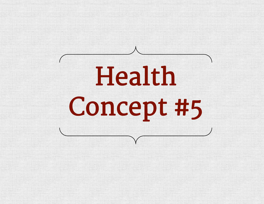# Health Concept #5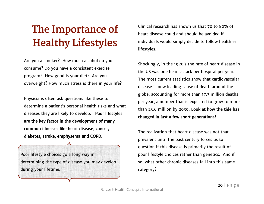### The Importance of Healthy Lifestyles

Are you a smoker? How much alcohol do you consume? Do you have a consistent exercise program? How good is your diet? Are you overweight? How much stress is there in your life?

Physicians often ask questions like these to determine a patient's personal health risks and what diseases they are likely to develop. Poor lifestyles are the key factor in the development of many common illnesses like heart disease, cancer, diabetes, stroke, emphysema and COPD.

Poor lifestyle choices go a long way in determining the type of disease you may develop during your lifetime.

Clinical research has shown us that 70 to 80% of heart disease could and should be avoided if individuals would simply decide to follow healthier lifestyles.

Shockingly, in the 1920's the rate of heart disease in the US was one heart attack per hospital per year. The most current statistics show that cardiovascular disease is now leading cause of death around the globe, accounting for more than 17.3 million deaths per year, a number that is expected to grow to more than 23.6 million by 2030. Look at how the tide has changed in just a few short generations!

The realization that heart disease was not that prevalent until the past century forces us to question if this disease is primarily the result of poor lifestyle choices rather than genetics. And if so, what other chronic diseases fall into this same category?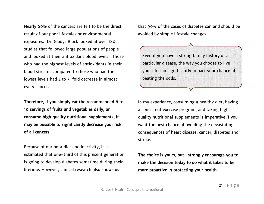Nearly 60% of the cancers are felt to be the direct result of our poor lifestyles or environmental exposures. Dr. Gladys Block looked at over 180 studies that followed large populations of people and looked at their antioxidant blood levels. Those who had the highest levels of antioxidants in their blood streams compared to those who had the lowest levels had 2 to 3-fold decrease in almost every cancer.

Therefore, if you simply eat the recommended 6 to 10 servings of fruits and vegetables daily, or consume high quality nutritional supplements, it may be possible to significantly decrease your risk of all cancers.

Because of our poor diet and inactivity, it is estimated that one-third of this present generation is going to develop diabetes sometime during their lifetime. However, clinical research also shows us

that 90% of the cases of diabetes can and should be avoided by simple lifestyle changes.

Even if you have a strong family history of a particular disease, the way you choose to live your life can significantly impact your chance of beating the odds.

In my experience, consuming a healthy diet, having a consistent exercise program, and taking high quality nutritional supplements is imperative if you want the best chance of avoiding the devastating consequences of heart disease, cancer, diabetes and stroke.

The choice is yours, but I strongly encourage you to make the decision today to do what it takes to be more proactive in protecting your health.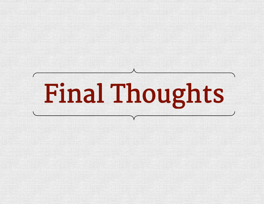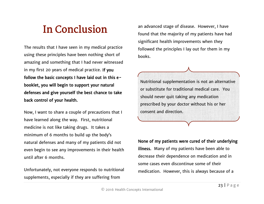### In Conclusion

The results that I have seen in my medical practice using these principles have been nothing short of amazing and something that I had never witnessed in my first 20 years of medical practice. If you follow the basic concepts I have laid out in this ebooklet, you will begin to support your natural defenses and give yourself the best chance to take back control of your health.

Now, I want to share a couple of precautions that I have learned along the way. First, nutritional medicine is not like taking drugs. It takes a minimum of 6 months to build up the body's natural defenses and many of my patients did not even begin to see any improvements in their health until after 6 months.

Unfortunately, not everyone responds to nutritional supplements, especially if they are suffering from

an advanced stage of disease. However, I have found that the majority of my patients have had significant health improvements when they followed the principles I lay out for them in my books.

Nutritional supplementation is not an alternative or substitute for traditional medical care. You should never quit taking any medication prescribed by your doctor without his or her consent and direction.

None of my patients were cured of their underlying illness. Many of my patients have been able to decrease their dependence on medication and in some cases even discontinue some of their medication. However, this is always because of a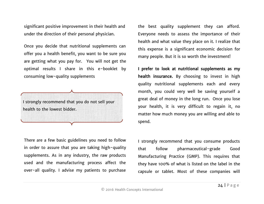significant positive improvement in their health and under the direction of their personal physician.

Once you decide that nutritional supplements can offer you a health benefit, you want to be sure you are getting what you pay for. You will not get the optimal results I share in this e-booklet by consuming low-quality supplements



There are a few basic guidelines you need to follow in order to assure that you are taking high-quality supplements. As in any industry, the raw products used and the manufacturing process affect the over-all quality. I advise my patients to purchase

the best quality supplement they can afford. Everyone needs to assess the importance of their health and what value they place on it. I realize that this expense is a significant economic decision for many people. But it is so worth the investment!

I prefer to look at nutritional supplements as my health insurance. By choosing to invest in high quality nutritional supplements each and every month, you could very well be saving yourself a great deal of money in the long run. Once you lose your health, it is very difficult to regain it, no matter how much money you are willing and able to spend.

I strongly recommend that you consume products that follow pharmaceutical-grade Good Manufacturing Practice (GMP). This requires that they have 100% of what is listed on the label in the capsule or tablet. Most of these companies will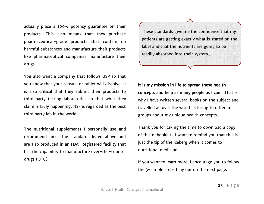actually place a 100% potency guarantee on their products. This also means that they purchase pharmaceutical-grade products that contain no harmful substances and manufacture their products like pharmaceutical companies manufacture their drugs.

You also want a company that follows USP so that you know that your capsule or tablet will dissolve. It is also critical that they submit their products to third party testing laboratories so that what they claim is truly happening. NSF is regarded as the best third party lab in the world.

The nutritional supplements I personally use and recommend meet the standards listed above and are also produced in an FDA-Registered facility that has the capability to manufacture over-the-counter drugs (OTC).

These standards give me the confidence that my patients are getting exactly what is stated on the label and that the nutrients are going to be readily absorbed into their system.

It is my mission in life to spread these health concepts and help as many people as I can. That is why I have written several books on the subject and travelled all over the world lecturing to different groups about my unique health concepts.

Thank you for taking the time to download a copy of this e-booklet. I want to remind you that this is just the tip of the iceberg when it comes to nutritional medicine.

If you want to learn more, I encourage you to follow the 3-simple steps I lay out on the next page.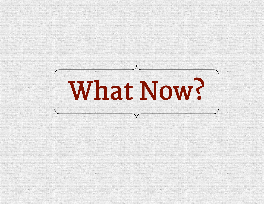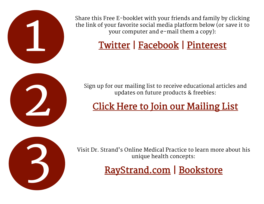

Share this Free E-booklet with your friends and family by clicking the link of your favorite social media platform below (or save it to your computer and e-mail them a copy):

### [Twitter](https://twitter.com/intent/tweet?text=Dr.%20Ray%20Strand%20is%20offering%20a%20FREE%20E-book%20%225%20Essential%20Concepts%20for%20Optimal%20Health%22%20%28no%20strings%20attached%21%29%20at%20http%3A%2F%2Fctt.ec%2FupKU2%2B&source=clicktotweet&related=clic) | [Facebook](https://www.facebook.com/sharer/sharer.php?u=http%3A//www.raystrand.com) | [Pinterest](https://www.pinterest.com/pin/565624034430736124/)



Sign up for our mailing list to receive educational articles and updates on future products & freebies:

### [Click Here to Join our Mailing List](http://madmimi.com/signups/183470/join)



Visit Dr. Strand's Online Medical Practice to learn more about his unique health concepts:

[RayStrand.com](http://www.raystrand.com/) | [Bookstore](http://www.raystrand.com/bookstore.asp)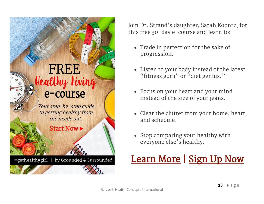

Join Dr. Strand's daughter, Sarah Koontz, for this free 30-day e-course and learn to:

- Trade in perfection for the sake of progression.
- Listen to your body instead of the latest "fitness guru" or "diet genius."
- Focus on your heart and your mind instead of the size of your jeans.
- Clear the clutter from your home, heart, and schedule.
- Stop comparing your healthy with everyone else's healthy.

### [Learn More](http://www.groundedandsurrounded.com/10-secrets-free-e-course/) | Sign Up Now